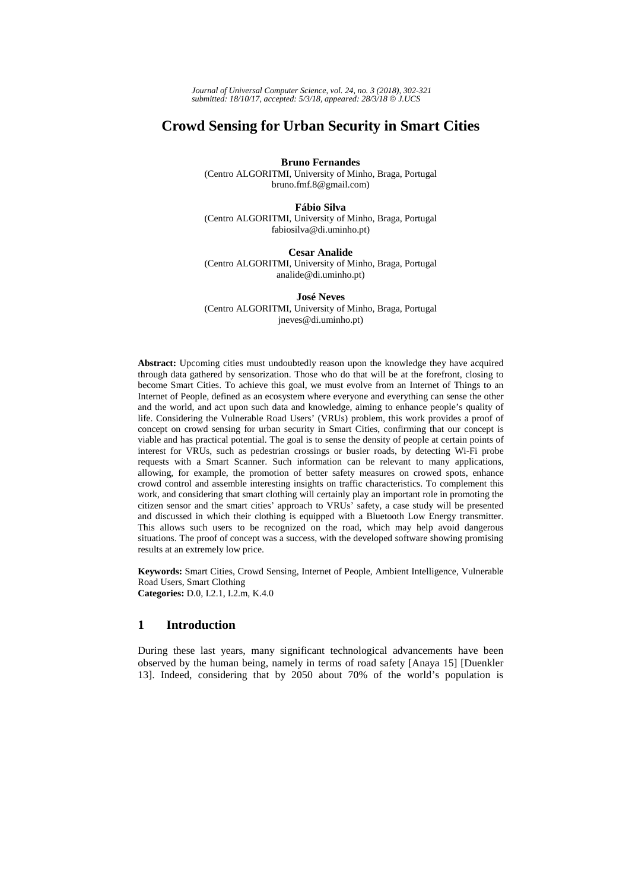*Journal of Universal Computer Science, vol. 24, no. 3 (2018), 302-321 submitted: 18/10/17, accepted: 5/3/18, appeared: 28/3/18* © *J.UCS*

# **Crowd Sensing for Urban Security in Smart Cities**

**Bruno Fernandes** 

(Centro ALGORITMI, University of Minho, Braga, Portugal bruno.fmf.8@gmail.com)

**Fábio Silva**

(Centro ALGORITMI, University of Minho, Braga, Portugal fabiosilva@di.uminho.pt)

**Cesar Analide** (Centro ALGORITMI, University of Minho, Braga, Portugal analide@di.uminho.pt)

**José Neves** (Centro ALGORITMI, University of Minho, Braga, Portugal jneves@di.uminho.pt)

**Abstract:** Upcoming cities must undoubtedly reason upon the knowledge they have acquired through data gathered by sensorization. Those who do that will be at the forefront, closing to become Smart Cities. To achieve this goal, we must evolve from an Internet of Things to an Internet of People, defined as an ecosystem where everyone and everything can sense the other and the world, and act upon such data and knowledge, aiming to enhance people's quality of life. Considering the Vulnerable Road Users' (VRUs) problem, this work provides a proof of concept on crowd sensing for urban security in Smart Cities, confirming that our concept is viable and has practical potential. The goal is to sense the density of people at certain points of interest for VRUs, such as pedestrian crossings or busier roads, by detecting Wi-Fi probe requests with a Smart Scanner. Such information can be relevant to many applications, allowing, for example, the promotion of better safety measures on crowed spots, enhance crowd control and assemble interesting insights on traffic characteristics. To complement this work, and considering that smart clothing will certainly play an important role in promoting the citizen sensor and the smart cities' approach to VRUs' safety, a case study will be presented and discussed in which their clothing is equipped with a Bluetooth Low Energy transmitter. This allows such users to be recognized on the road, which may help avoid dangerous situations. The proof of concept was a success, with the developed software showing promising results at an extremely low price.

**Keywords:** Smart Cities, Crowd Sensing, Internet of People, Ambient Intelligence, Vulnerable Road Users, Smart Clothing **Categories:** D.0, I.2.1, I.2.m, K.4.0

## **1 Introduction**

During these last years, many significant technological advancements have been observed by the human being, namely in terms of road safety [Anaya 15] [Duenkler 13]. Indeed, considering that by 2050 about 70% of the world's population is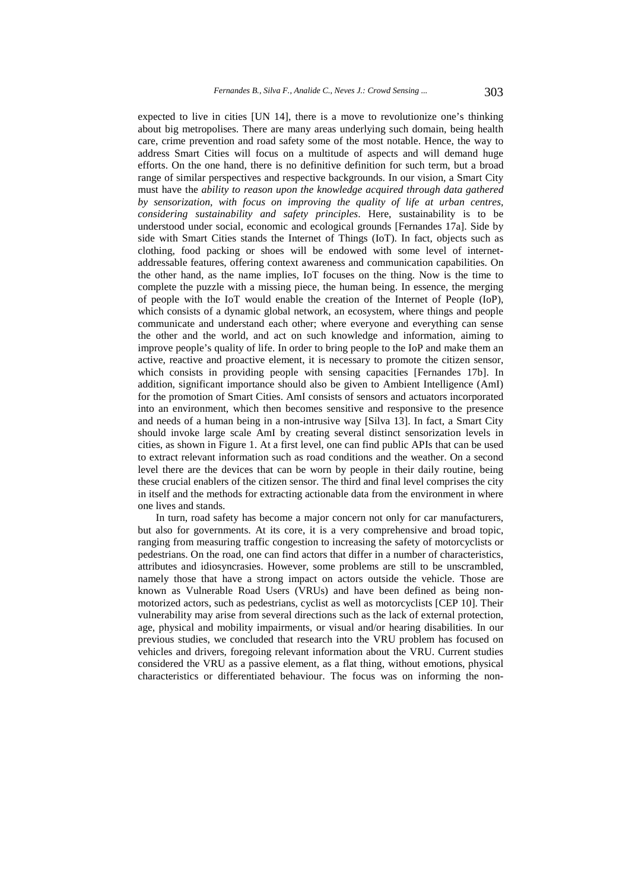expected to live in cities [UN 14], there is a move to revolutionize one's thinking about big metropolises. There are many areas underlying such domain, being health care, crime prevention and road safety some of the most notable. Hence, the way to address Smart Cities will focus on a multitude of aspects and will demand huge efforts. On the one hand, there is no definitive definition for such term, but a broad range of similar perspectives and respective backgrounds. In our vision, a Smart City must have the *ability to reason upon the knowledge acquired through data gathered by sensorization, with focus on improving the quality of life at urban centres, considering sustainability and safety principles*. Here, sustainability is to be understood under social, economic and ecological grounds [Fernandes 17a]. Side by side with Smart Cities stands the Internet of Things (IoT). In fact, objects such as clothing, food packing or shoes will be endowed with some level of internetaddressable features, offering context awareness and communication capabilities. On the other hand, as the name implies, IoT focuses on the thing. Now is the time to complete the puzzle with a missing piece, the human being. In essence, the merging of people with the IoT would enable the creation of the Internet of People (IoP), which consists of a dynamic global network, an ecosystem, where things and people communicate and understand each other; where everyone and everything can sense the other and the world, and act on such knowledge and information, aiming to improve people's quality of life. In order to bring people to the IoP and make them an active, reactive and proactive element, it is necessary to promote the citizen sensor, which consists in providing people with sensing capacities [Fernandes 17b]. In addition, significant importance should also be given to Ambient Intelligence (AmI) for the promotion of Smart Cities. AmI consists of sensors and actuators incorporated into an environment, which then becomes sensitive and responsive to the presence and needs of a human being in a non-intrusive way [Silva 13]. In fact, a Smart City should invoke large scale AmI by creating several distinct sensorization levels in cities, as shown in Figure 1. At a first level, one can find public APIs that can be used to extract relevant information such as road conditions and the weather. On a second level there are the devices that can be worn by people in their daily routine, being these crucial enablers of the citizen sensor. The third and final level comprises the city in itself and the methods for extracting actionable data from the environment in where one lives and stands.

In turn, road safety has become a major concern not only for car manufacturers, but also for governments. At its core, it is a very comprehensive and broad topic, ranging from measuring traffic congestion to increasing the safety of motorcyclists or pedestrians. On the road, one can find actors that differ in a number of characteristics, attributes and idiosyncrasies. However, some problems are still to be unscrambled, namely those that have a strong impact on actors outside the vehicle. Those are known as Vulnerable Road Users (VRUs) and have been defined as being nonmotorized actors, such as pedestrians, cyclist as well as motorcyclists [CEP 10]. Their vulnerability may arise from several directions such as the lack of external protection, age, physical and mobility impairments, or visual and/or hearing disabilities. In our previous studies, we concluded that research into the VRU problem has focused on vehicles and drivers, foregoing relevant information about the VRU. Current studies considered the VRU as a passive element, as a flat thing, without emotions, physical characteristics or differentiated behaviour. The focus was on informing the non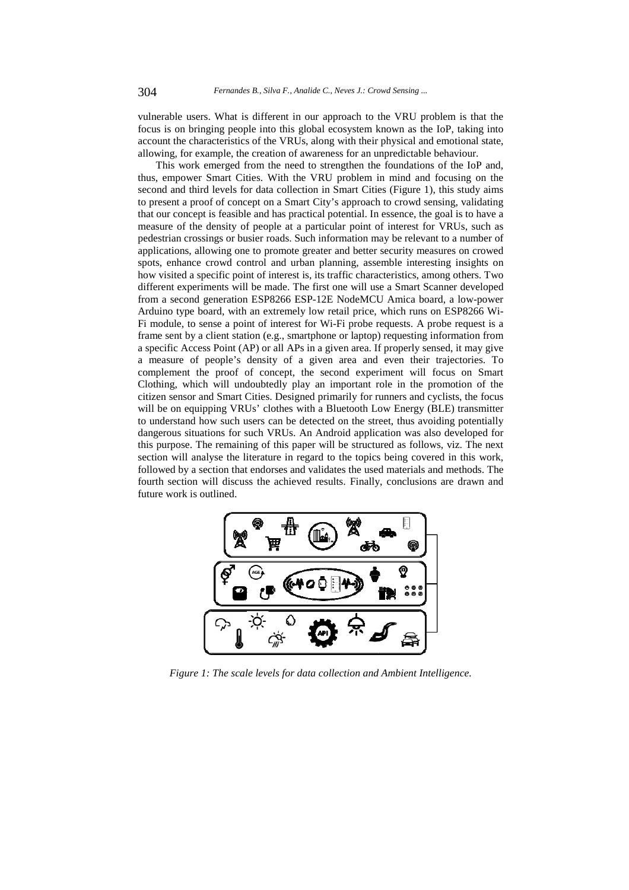vulnerable users. What is different in our approach to the VRU problem is that the focus is on bringing people into this global ecosystem known as the IoP, taking into account the characteristics of the VRUs, along with their physical and emotional state, allowing, for example, the creation of awareness for an unpredictable behaviour.

This work emerged from the need to strengthen the foundations of the IoP and, thus, empower Smart Cities. With the VRU problem in mind and focusing on the second and third levels for data collection in Smart Cities (Figure 1), this study aims to present a proof of concept on a Smart City's approach to crowd sensing, validating that our concept is feasible and has practical potential. In essence, the goal is to have a measure of the density of people at a particular point of interest for VRUs, such as pedestrian crossings or busier roads. Such information may be relevant to a number of applications, allowing one to promote greater and better security measures on crowed spots, enhance crowd control and urban planning, assemble interesting insights on how visited a specific point of interest is, its traffic characteristics, among others. Two different experiments will be made. The first one will use a Smart Scanner developed from a second generation ESP8266 ESP-12E NodeMCU Amica board, a low-power Arduino type board, with an extremely low retail price, which runs on ESP8266 Wi-Fi module, to sense a point of interest for Wi-Fi probe requests. A probe request is a frame sent by a client station (e.g., smartphone or laptop) requesting information from a specific Access Point (AP) or all APs in a given area. If properly sensed, it may give a measure of people's density of a given area and even their trajectories. To complement the proof of concept, the second experiment will focus on Smart Clothing, which will undoubtedly play an important role in the promotion of the citizen sensor and Smart Cities. Designed primarily for runners and cyclists, the focus will be on equipping VRUs' clothes with a Bluetooth Low Energy (BLE) transmitter to understand how such users can be detected on the street, thus avoiding potentially dangerous situations for such VRUs. An Android application was also developed for this purpose. The remaining of this paper will be structured as follows, viz. The next section will analyse the literature in regard to the topics being covered in this work, followed by a section that endorses and validates the used materials and methods. The fourth section will discuss the achieved results. Finally, conclusions are drawn and future work is outlined.



*Figure 1: The scale levels for data collection and Ambient Intelligence.*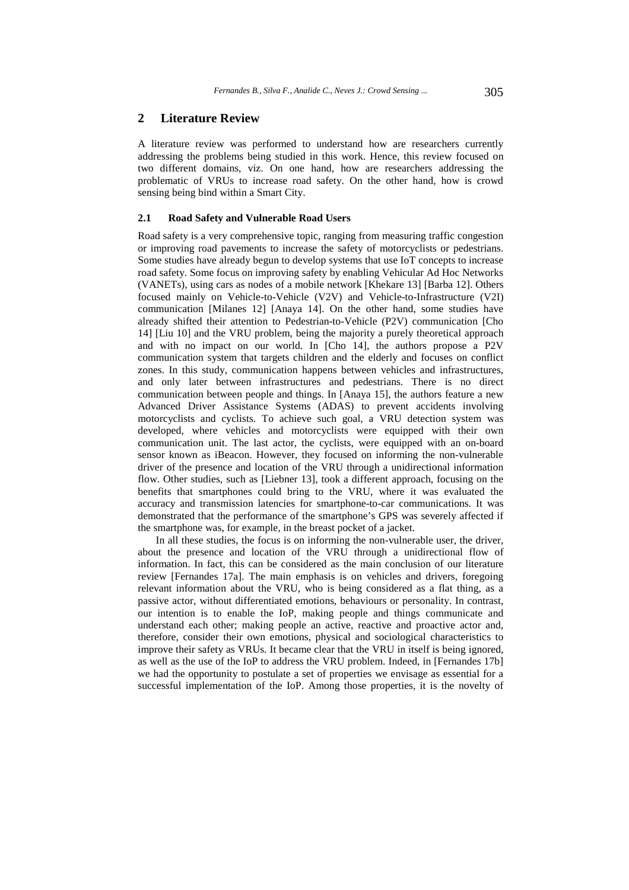## **2 Literature Review**

A literature review was performed to understand how are researchers currently addressing the problems being studied in this work. Hence, this review focused on two different domains, viz. On one hand, how are researchers addressing the problematic of VRUs to increase road safety. On the other hand, how is crowd sensing being bind within a Smart City.

### **2.1 Road Safety and Vulnerable Road Users**

Road safety is a very comprehensive topic, ranging from measuring traffic congestion or improving road pavements to increase the safety of motorcyclists or pedestrians. Some studies have already begun to develop systems that use IoT concepts to increase road safety. Some focus on improving safety by enabling Vehicular Ad Hoc Networks (VANETs), using cars as nodes of a mobile network [Khekare 13] [Barba 12]. Others focused mainly on Vehicle-to-Vehicle (V2V) and Vehicle-to-Infrastructure (V2I) communication [Milanes 12] [Anaya 14]. On the other hand, some studies have already shifted their attention to Pedestrian-to-Vehicle (P2V) communication [Cho 14] [Liu 10] and the VRU problem, being the majority a purely theoretical approach and with no impact on our world. In [Cho 14], the authors propose a P2V communication system that targets children and the elderly and focuses on conflict zones. In this study, communication happens between vehicles and infrastructures, and only later between infrastructures and pedestrians. There is no direct communication between people and things. In [Anaya 15], the authors feature a new Advanced Driver Assistance Systems (ADAS) to prevent accidents involving motorcyclists and cyclists. To achieve such goal, a VRU detection system was developed, where vehicles and motorcyclists were equipped with their own communication unit. The last actor, the cyclists, were equipped with an on-board sensor known as iBeacon. However, they focused on informing the non-vulnerable driver of the presence and location of the VRU through a unidirectional information flow. Other studies, such as [Liebner 13], took a different approach, focusing on the benefits that smartphones could bring to the VRU, where it was evaluated the accuracy and transmission latencies for smartphone-to-car communications. It was demonstrated that the performance of the smartphone's GPS was severely affected if the smartphone was, for example, in the breast pocket of a jacket.

In all these studies, the focus is on informing the non-vulnerable user, the driver, about the presence and location of the VRU through a unidirectional flow of information. In fact, this can be considered as the main conclusion of our literature review [Fernandes 17a]. The main emphasis is on vehicles and drivers, foregoing relevant information about the VRU, who is being considered as a flat thing, as a passive actor, without differentiated emotions, behaviours or personality. In contrast, our intention is to enable the IoP, making people and things communicate and understand each other; making people an active, reactive and proactive actor and, therefore, consider their own emotions, physical and sociological characteristics to improve their safety as VRUs. It became clear that the VRU in itself is being ignored, as well as the use of the IoP to address the VRU problem. Indeed, in [Fernandes 17b] we had the opportunity to postulate a set of properties we envisage as essential for a successful implementation of the IoP. Among those properties, it is the novelty of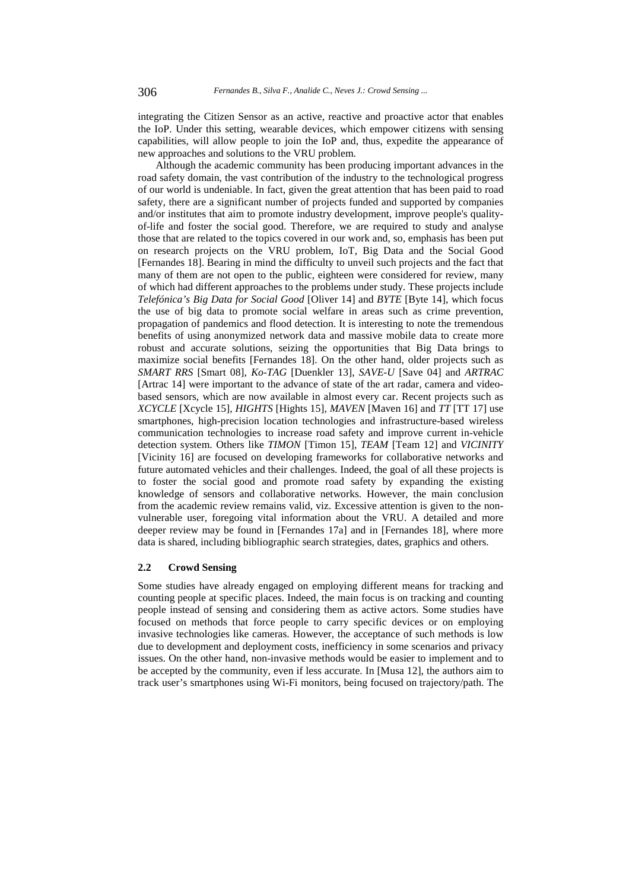integrating the Citizen Sensor as an active, reactive and proactive actor that enables the IoP. Under this setting, wearable devices, which empower citizens with sensing capabilities, will allow people to join the IoP and, thus, expedite the appearance of new approaches and solutions to the VRU problem.

Although the academic community has been producing important advances in the road safety domain, the vast contribution of the industry to the technological progress of our world is undeniable. In fact, given the great attention that has been paid to road safety, there are a significant number of projects funded and supported by companies and/or institutes that aim to promote industry development, improve people's qualityof-life and foster the social good. Therefore, we are required to study and analyse those that are related to the topics covered in our work and, so, emphasis has been put on research projects on the VRU problem, IoT, Big Data and the Social Good [Fernandes 18]. Bearing in mind the difficulty to unveil such projects and the fact that many of them are not open to the public, eighteen were considered for review, many of which had different approaches to the problems under study. These projects include *Telefónica's Big Data for Social Good* [Oliver 14] and *BYTE* [Byte 14], which focus the use of big data to promote social welfare in areas such as crime prevention, propagation of pandemics and flood detection. It is interesting to note the tremendous benefits of using anonymized network data and massive mobile data to create more robust and accurate solutions, seizing the opportunities that Big Data brings to maximize social benefits [Fernandes 18]. On the other hand, older projects such as *SMART RRS* [Smart 08], *Ko-TAG* [Duenkler 13], *SAVE-U* [Save 04] and *ARTRAC* [Artrac 14] were important to the advance of state of the art radar, camera and videobased sensors, which are now available in almost every car. Recent projects such as *XCYCLE* [Xcycle 15], *HIGHTS* [Hights 15], *MAVEN* [Maven 16] and *TT* [TT 17] use smartphones, high-precision location technologies and infrastructure-based wireless communication technologies to increase road safety and improve current in-vehicle detection system. Others like *TIMON* [Timon 15], *TEAM* [Team 12] and *VICINITY* [Vicinity 16] are focused on developing frameworks for collaborative networks and future automated vehicles and their challenges. Indeed, the goal of all these projects is to foster the social good and promote road safety by expanding the existing knowledge of sensors and collaborative networks. However, the main conclusion from the academic review remains valid, viz. Excessive attention is given to the nonvulnerable user, foregoing vital information about the VRU. A detailed and more deeper review may be found in [Fernandes 17a] and in [Fernandes 18], where more data is shared, including bibliographic search strategies, dates, graphics and others.

#### **2.2 Crowd Sensing**

Some studies have already engaged on employing different means for tracking and counting people at specific places. Indeed, the main focus is on tracking and counting people instead of sensing and considering them as active actors. Some studies have focused on methods that force people to carry specific devices or on employing invasive technologies like cameras. However, the acceptance of such methods is low due to development and deployment costs, inefficiency in some scenarios and privacy issues. On the other hand, non-invasive methods would be easier to implement and to be accepted by the community, even if less accurate. In [Musa 12], the authors aim to track user's smartphones using Wi-Fi monitors, being focused on trajectory/path. The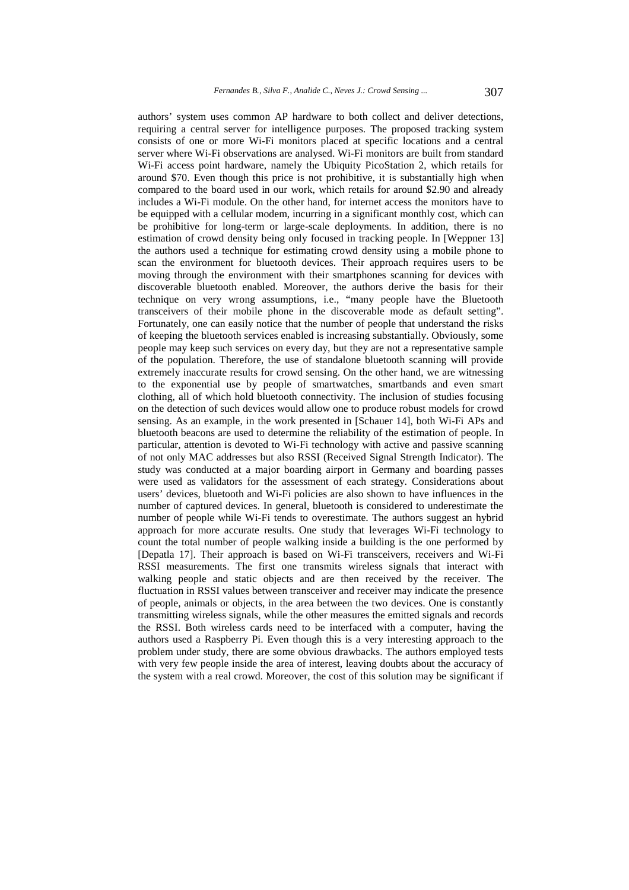authors' system uses common AP hardware to both collect and deliver detections, requiring a central server for intelligence purposes. The proposed tracking system consists of one or more Wi-Fi monitors placed at specific locations and a central server where Wi-Fi observations are analysed. Wi-Fi monitors are built from standard Wi-Fi access point hardware, namely the Ubiquity PicoStation 2, which retails for around \$70. Even though this price is not prohibitive, it is substantially high when compared to the board used in our work, which retails for around \$2.90 and already includes a Wi-Fi module. On the other hand, for internet access the monitors have to be equipped with a cellular modem, incurring in a significant monthly cost, which can be prohibitive for long-term or large-scale deployments. In addition, there is no estimation of crowd density being only focused in tracking people. In [Weppner 13] the authors used a technique for estimating crowd density using a mobile phone to scan the environment for bluetooth devices. Their approach requires users to be moving through the environment with their smartphones scanning for devices with discoverable bluetooth enabled. Moreover, the authors derive the basis for their technique on very wrong assumptions, i.e., "many people have the Bluetooth transceivers of their mobile phone in the discoverable mode as default setting". Fortunately, one can easily notice that the number of people that understand the risks of keeping the bluetooth services enabled is increasing substantially. Obviously, some people may keep such services on every day, but they are not a representative sample of the population. Therefore, the use of standalone bluetooth scanning will provide extremely inaccurate results for crowd sensing. On the other hand, we are witnessing to the exponential use by people of smartwatches, smartbands and even smart clothing, all of which hold bluetooth connectivity. The inclusion of studies focusing on the detection of such devices would allow one to produce robust models for crowd sensing. As an example, in the work presented in [Schauer 14], both Wi-Fi APs and bluetooth beacons are used to determine the reliability of the estimation of people. In particular, attention is devoted to Wi-Fi technology with active and passive scanning of not only MAC addresses but also RSSI (Received Signal Strength Indicator). The study was conducted at a major boarding airport in Germany and boarding passes were used as validators for the assessment of each strategy. Considerations about users' devices, bluetooth and Wi-Fi policies are also shown to have influences in the number of captured devices. In general, bluetooth is considered to underestimate the number of people while Wi-Fi tends to overestimate. The authors suggest an hybrid approach for more accurate results. One study that leverages Wi-Fi technology to count the total number of people walking inside a building is the one performed by [Depatla 17]. Their approach is based on Wi-Fi transceivers, receivers and Wi-Fi RSSI measurements. The first one transmits wireless signals that interact with walking people and static objects and are then received by the receiver. The fluctuation in RSSI values between transceiver and receiver may indicate the presence of people, animals or objects, in the area between the two devices. One is constantly transmitting wireless signals, while the other measures the emitted signals and records the RSSI. Both wireless cards need to be interfaced with a computer, having the authors used a Raspberry Pi. Even though this is a very interesting approach to the problem under study, there are some obvious drawbacks. The authors employed tests with very few people inside the area of interest, leaving doubts about the accuracy of the system with a real crowd. Moreover, the cost of this solution may be significant if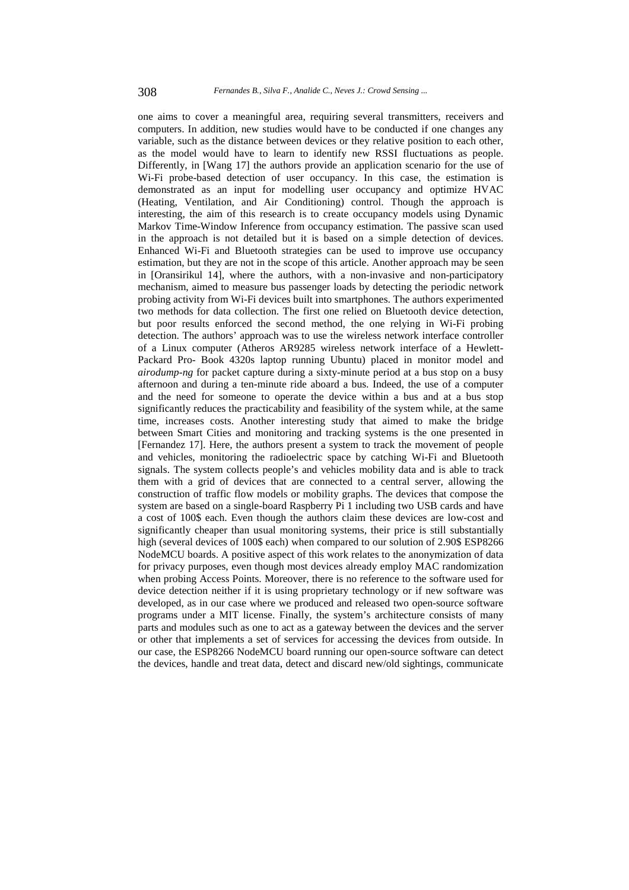one aims to cover a meaningful area, requiring several transmitters, receivers and computers. In addition, new studies would have to be conducted if one changes any variable, such as the distance between devices or they relative position to each other, as the model would have to learn to identify new RSSI fluctuations as people. Differently, in [Wang 17] the authors provide an application scenario for the use of Wi-Fi probe-based detection of user occupancy. In this case, the estimation is demonstrated as an input for modelling user occupancy and optimize HVAC (Heating, Ventilation, and Air Conditioning) control. Though the approach is interesting, the aim of this research is to create occupancy models using Dynamic Markov Time-Window Inference from occupancy estimation. The passive scan used in the approach is not detailed but it is based on a simple detection of devices. Enhanced Wi-Fi and Bluetooth strategies can be used to improve use occupancy estimation, but they are not in the scope of this article. Another approach may be seen in [Oransirikul 14], where the authors, with a non-invasive and non-participatory mechanism, aimed to measure bus passenger loads by detecting the periodic network probing activity from Wi-Fi devices built into smartphones. The authors experimented two methods for data collection. The first one relied on Bluetooth device detection, but poor results enforced the second method, the one relying in Wi-Fi probing detection. The authors' approach was to use the wireless network interface controller of a Linux computer (Atheros AR9285 wireless network interface of a Hewlett-Packard Pro- Book 4320s laptop running Ubuntu) placed in monitor model and *airodump-ng* for packet capture during a sixty-minute period at a bus stop on a busy afternoon and during a ten-minute ride aboard a bus. Indeed, the use of a computer and the need for someone to operate the device within a bus and at a bus stop significantly reduces the practicability and feasibility of the system while, at the same time, increases costs. Another interesting study that aimed to make the bridge between Smart Cities and monitoring and tracking systems is the one presented in [Fernandez 17]. Here, the authors present a system to track the movement of people and vehicles, monitoring the radioelectric space by catching Wi-Fi and Bluetooth signals. The system collects people's and vehicles mobility data and is able to track them with a grid of devices that are connected to a central server, allowing the construction of traffic flow models or mobility graphs. The devices that compose the system are based on a single-board Raspberry Pi 1 including two USB cards and have a cost of 100\$ each. Even though the authors claim these devices are low-cost and significantly cheaper than usual monitoring systems, their price is still substantially high (several devices of 100\$ each) when compared to our solution of 2.90\$ ESP8266 NodeMCU boards. A positive aspect of this work relates to the anonymization of data for privacy purposes, even though most devices already employ MAC randomization when probing Access Points. Moreover, there is no reference to the software used for device detection neither if it is using proprietary technology or if new software was developed, as in our case where we produced and released two open-source software programs under a MIT license. Finally, the system's architecture consists of many parts and modules such as one to act as a gateway between the devices and the server or other that implements a set of services for accessing the devices from outside. In our case, the ESP8266 NodeMCU board running our open-source software can detect the devices, handle and treat data, detect and discard new/old sightings, communicate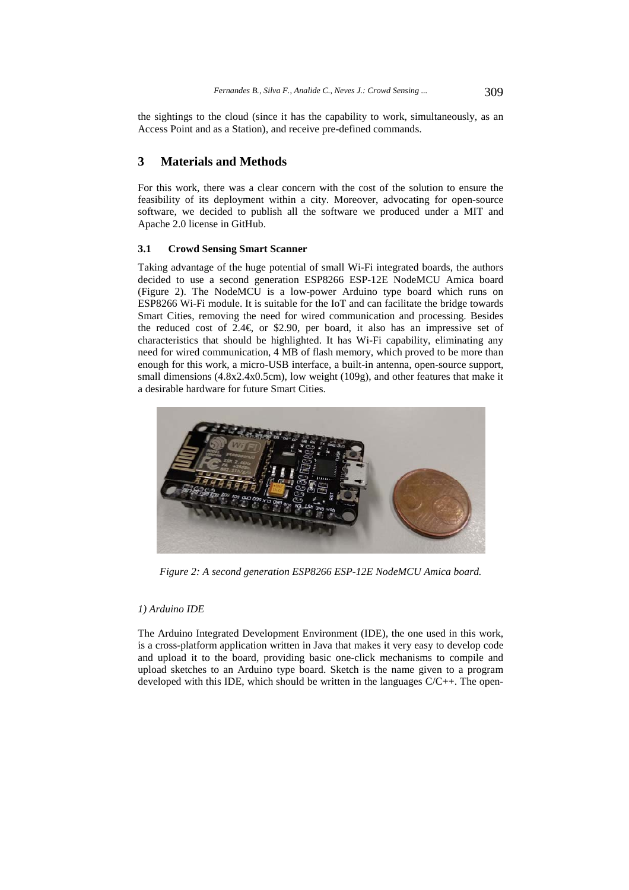the sightings to the cloud (since it has the capability to work, simultaneously, as an Access Point and as a Station), and receive pre-defined commands.

## **3 Materials and Methods**

For this work, there was a clear concern with the cost of the solution to ensure the feasibility of its deployment within a city. Moreover, advocating for open-source software, we decided to publish all the software we produced under a MIT and Apache 2.0 license in GitHub.

## **3.1 Crowd Sensing Smart Scanner**

Taking advantage of the huge potential of small Wi-Fi integrated boards, the authors decided to use a second generation ESP8266 ESP-12E NodeMCU Amica board (Figure 2). The NodeMCU is a low-power Arduino type board which runs on ESP8266 Wi-Fi module. It is suitable for the IoT and can facilitate the bridge towards Smart Cities, removing the need for wired communication and processing. Besides the reduced cost of 2.4 $\epsilon$  or \$2.90, per board, it also has an impressive set of characteristics that should be highlighted. It has Wi-Fi capability, eliminating any need for wired communication, 4 MB of flash memory, which proved to be more than enough for this work, a micro-USB interface, a built-in antenna, open-source support, small dimensions (4.8x2.4x0.5cm), low weight (109g), and other features that make it a desirable hardware for future Smart Cities.



*Figure 2: A second generation ESP8266 ESP-12E NodeMCU Amica board.* 

## *1) Arduino IDE*

The Arduino Integrated Development Environment (IDE), the one used in this work, is a cross-platform application written in Java that makes it very easy to develop code and upload it to the board, providing basic one-click mechanisms to compile and upload sketches to an Arduino type board. Sketch is the name given to a program developed with this IDE, which should be written in the languages  $C/C++$ . The open-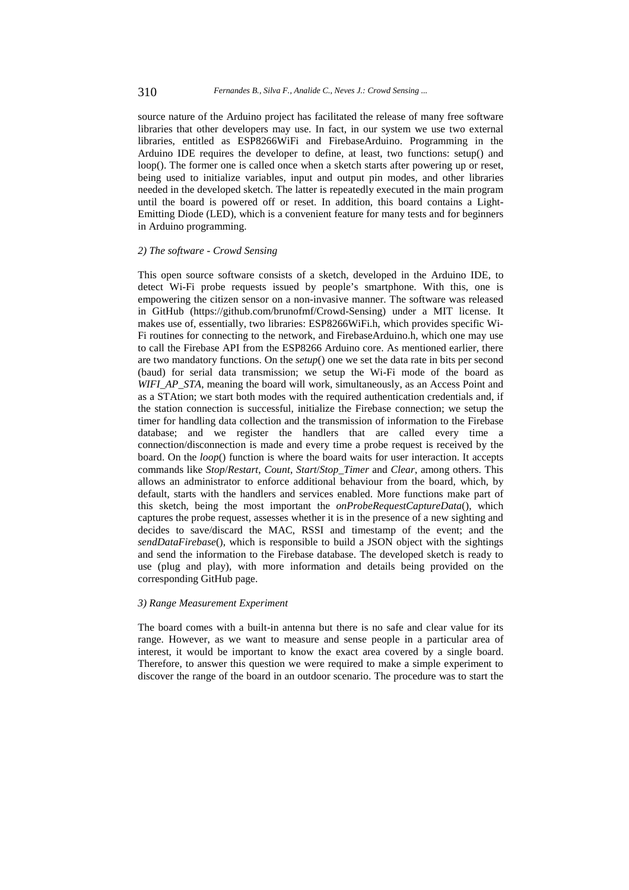source nature of the Arduino project has facilitated the release of many free software libraries that other developers may use. In fact, in our system we use two external libraries, entitled as ESP8266WiFi and FirebaseArduino. Programming in the Arduino IDE requires the developer to define, at least, two functions: setup() and loop(). The former one is called once when a sketch starts after powering up or reset, being used to initialize variables, input and output pin modes, and other libraries needed in the developed sketch. The latter is repeatedly executed in the main program until the board is powered off or reset. In addition, this board contains a Light-Emitting Diode (LED), which is a convenient feature for many tests and for beginners in Arduino programming.

#### *2) The software - Crowd Sensing*

This open source software consists of a sketch, developed in the Arduino IDE, to detect Wi-Fi probe requests issued by people's smartphone. With this, one is empowering the citizen sensor on a non-invasive manner. The software was released in GitHub (https://github.com/brunofmf/Crowd-Sensing) under a MIT license. It makes use of, essentially, two libraries: ESP8266WiFi.h, which provides specific Wi-Fi routines for connecting to the network, and FirebaseArduino.h, which one may use to call the Firebase API from the ESP8266 Arduino core. As mentioned earlier, there are two mandatory functions. On the *setup*() one we set the data rate in bits per second (baud) for serial data transmission; we setup the Wi-Fi mode of the board as *WIFI\_AP\_STA*, meaning the board will work, simultaneously, as an Access Point and as a STAtion; we start both modes with the required authentication credentials and, if the station connection is successful, initialize the Firebase connection; we setup the timer for handling data collection and the transmission of information to the Firebase database; and we register the handlers that are called every time a connection/disconnection is made and every time a probe request is received by the board. On the *loop*() function is where the board waits for user interaction. It accepts commands like *Stop*/*Restart*, *Count*, *Start*/*Stop\_Timer* and *Clear*, among others. This allows an administrator to enforce additional behaviour from the board, which, by default, starts with the handlers and services enabled. More functions make part of this sketch, being the most important the *onProbeRequestCaptureData*(), which captures the probe request, assesses whether it is in the presence of a new sighting and decides to save/discard the MAC, RSSI and timestamp of the event; and the *sendDataFirebase*(), which is responsible to build a JSON object with the sightings and send the information to the Firebase database. The developed sketch is ready to use (plug and play), with more information and details being provided on the corresponding GitHub page.

#### *3) Range Measurement Experiment*

The board comes with a built-in antenna but there is no safe and clear value for its range. However, as we want to measure and sense people in a particular area of interest, it would be important to know the exact area covered by a single board. Therefore, to answer this question we were required to make a simple experiment to discover the range of the board in an outdoor scenario. The procedure was to start the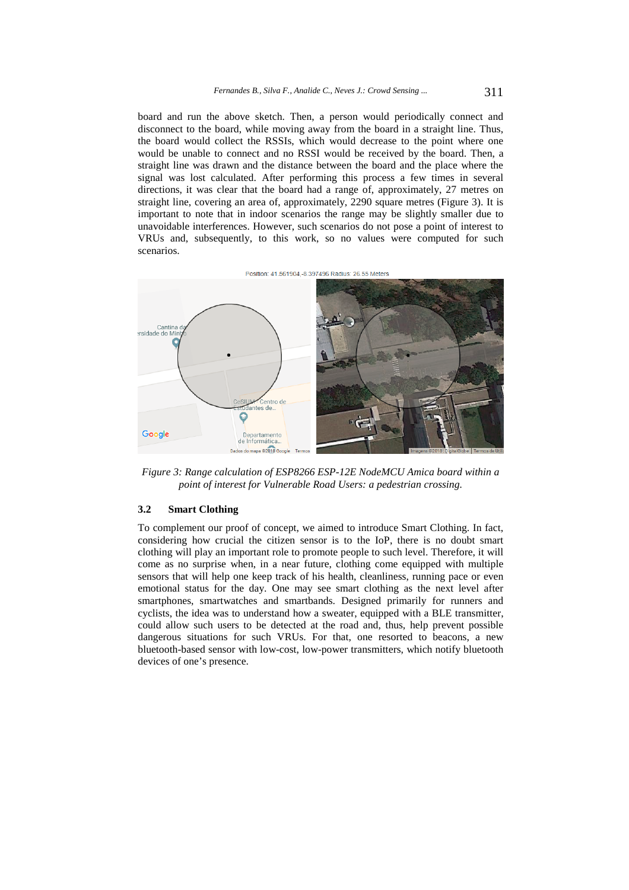board and run the above sketch. Then, a person would periodically connect and disconnect to the board, while moving away from the board in a straight line. Thus, the board would collect the RSSIs, which would decrease to the point where one would be unable to connect and no RSSI would be received by the board. Then, a straight line was drawn and the distance between the board and the place where the signal was lost calculated. After performing this process a few times in several directions, it was clear that the board had a range of, approximately, 27 metres on straight line, covering an area of, approximately, 2290 square metres (Figure 3). It is important to note that in indoor scenarios the range may be slightly smaller due to unavoidable interferences. However, such scenarios do not pose a point of interest to VRUs and, subsequently, to this work, so no values were computed for such scenarios.

Position: 41.561904.-8.397496 Radius: 26.55 Meters



*Figure 3: Range calculation of ESP8266 ESP-12E NodeMCU Amica board within a point of interest for Vulnerable Road Users: a pedestrian crossing.* 

## **3.2 Smart Clothing**

To complement our proof of concept, we aimed to introduce Smart Clothing. In fact, considering how crucial the citizen sensor is to the IoP, there is no doubt smart clothing will play an important role to promote people to such level. Therefore, it will come as no surprise when, in a near future, clothing come equipped with multiple sensors that will help one keep track of his health, cleanliness, running pace or even emotional status for the day. One may see smart clothing as the next level after smartphones, smartwatches and smartbands. Designed primarily for runners and cyclists, the idea was to understand how a sweater, equipped with a BLE transmitter, could allow such users to be detected at the road and, thus, help prevent possible dangerous situations for such VRUs. For that, one resorted to beacons, a new bluetooth-based sensor with low-cost, low-power transmitters, which notify bluetooth devices of one's presence.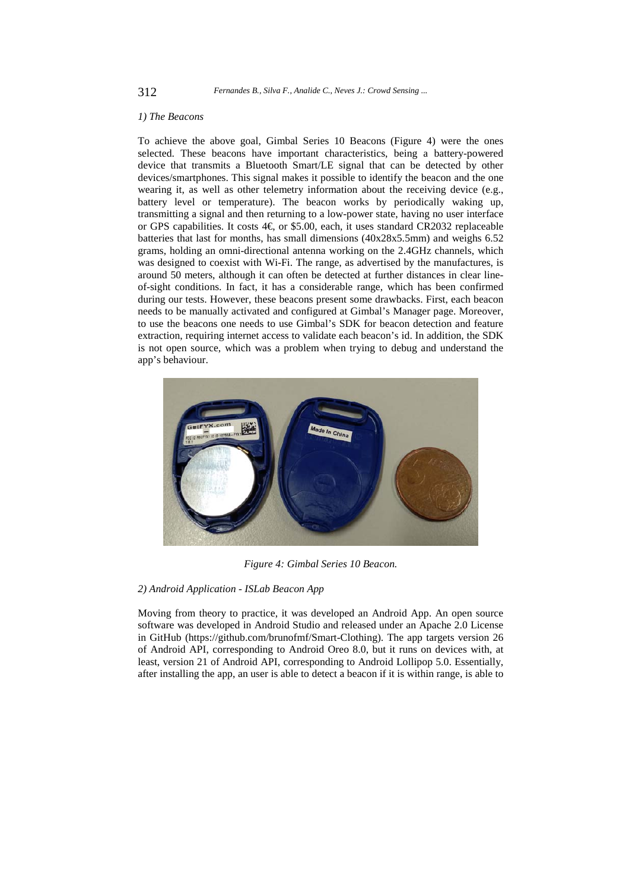#### *1) The Beacons*

To achieve the above goal, Gimbal Series 10 Beacons (Figure 4) were the ones selected. These beacons have important characteristics, being a battery-powered device that transmits a Bluetooth Smart/LE signal that can be detected by other devices/smartphones. This signal makes it possible to identify the beacon and the one wearing it, as well as other telemetry information about the receiving device (e.g., battery level or temperature). The beacon works by periodically waking up, transmitting a signal and then returning to a low-power state, having no user interface or GPS capabilities. It costs 4€, or \$5.00, each, it uses standard CR2032 replaceable batteries that last for months, has small dimensions (40x28x5.5mm) and weighs 6.52 grams, holding an omni-directional antenna working on the 2.4GHz channels, which was designed to coexist with Wi-Fi. The range, as advertised by the manufactures, is around 50 meters, although it can often be detected at further distances in clear lineof-sight conditions. In fact, it has a considerable range, which has been confirmed during our tests. However, these beacons present some drawbacks. First, each beacon needs to be manually activated and configured at Gimbal's Manager page. Moreover, to use the beacons one needs to use Gimbal's SDK for beacon detection and feature extraction, requiring internet access to validate each beacon's id. In addition, the SDK is not open source, which was a problem when trying to debug and understand the app's behaviour.



*Figure 4: Gimbal Series 10 Beacon.* 

### *2) Android Application - ISLab Beacon App*

Moving from theory to practice, it was developed an Android App. An open source software was developed in Android Studio and released under an Apache 2.0 License in GitHub (https://github.com/brunofmf/Smart-Clothing). The app targets version 26 of Android API, corresponding to Android Oreo 8.0, but it runs on devices with, at least, version 21 of Android API, corresponding to Android Lollipop 5.0. Essentially, after installing the app, an user is able to detect a beacon if it is within range, is able to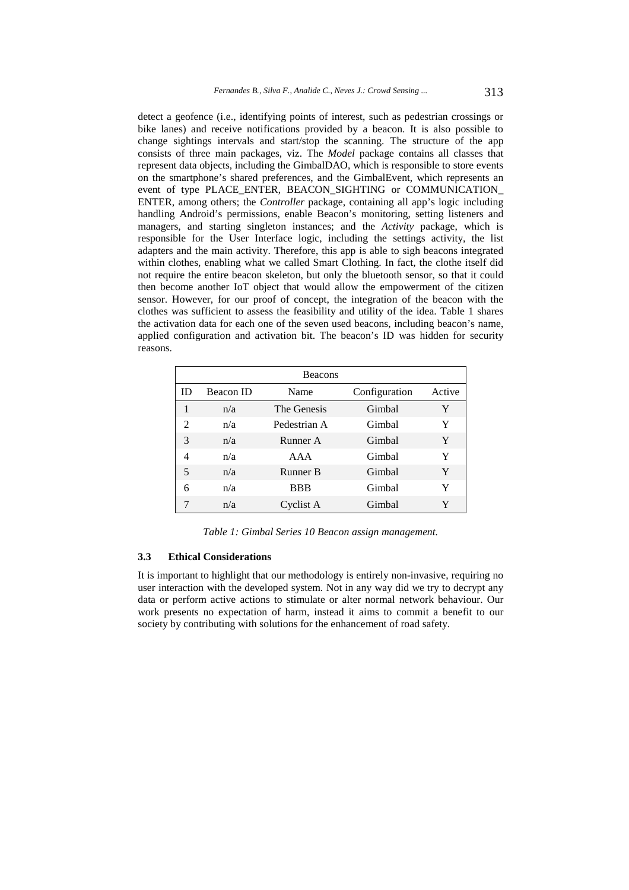detect a geofence (i.e., identifying points of interest, such as pedestrian crossings or bike lanes) and receive notifications provided by a beacon. It is also possible to change sightings intervals and start/stop the scanning. The structure of the app consists of three main packages, viz. The *Model* package contains all classes that represent data objects, including the GimbalDAO, which is responsible to store events on the smartphone's shared preferences, and the GimbalEvent, which represents an event of type PLACE\_ENTER, BEACON\_SIGHTING or COMMUNICATION\_ ENTER, among others; the *Controller* package, containing all app's logic including handling Android's permissions, enable Beacon's monitoring, setting listeners and managers, and starting singleton instances; and the *Activity* package, which is responsible for the User Interface logic, including the settings activity, the list adapters and the main activity. Therefore, this app is able to sigh beacons integrated within clothes, enabling what we called Smart Clothing. In fact, the clothe itself did not require the entire beacon skeleton, but only the bluetooth sensor, so that it could then become another IoT object that would allow the empowerment of the citizen sensor. However, for our proof of concept, the integration of the beacon with the clothes was sufficient to assess the feasibility and utility of the idea. Table 1 shares the activation data for each one of the seven used beacons, including beacon's name, applied configuration and activation bit. The beacon's ID was hidden for security reasons.

| <b>Beacons</b>              |                  |              |               |        |  |  |  |  |
|-----------------------------|------------------|--------------|---------------|--------|--|--|--|--|
| ID                          | <b>Beacon ID</b> | Name         | Configuration | Active |  |  |  |  |
| 1                           | n/a              | The Genesis  | Gimbal        | Y      |  |  |  |  |
| $\mathcal{D}_{\mathcal{L}}$ | n/a              | Pedestrian A | Gimbal        | Y      |  |  |  |  |
| 3                           | n/a              | Runner A     | Gimbal        | Y      |  |  |  |  |
| 4                           | n/a              | AAA          | Gimbal        | Y      |  |  |  |  |
| 5                           | n/a              | Runner B     | Gimbal        | Y      |  |  |  |  |
| 6                           | n/a              | <b>BBB</b>   | Gimbal        | Y      |  |  |  |  |
|                             | n/a              | Cyclist A    | Gimbal        | Y      |  |  |  |  |

*Table 1: Gimbal Series 10 Beacon assign management.* 

#### **3.3 Ethical Considerations**

It is important to highlight that our methodology is entirely non-invasive, requiring no user interaction with the developed system. Not in any way did we try to decrypt any data or perform active actions to stimulate or alter normal network behaviour. Our work presents no expectation of harm, instead it aims to commit a benefit to our society by contributing with solutions for the enhancement of road safety.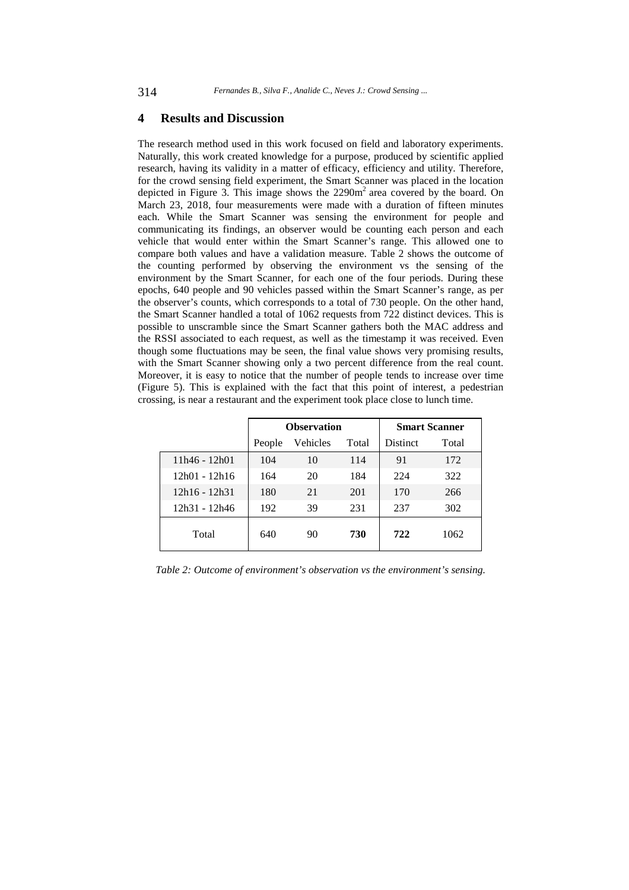### **4 Results and Discussion**

The research method used in this work focused on field and laboratory experiments. Naturally, this work created knowledge for a purpose, produced by scientific applied research, having its validity in a matter of efficacy, efficiency and utility. Therefore, for the crowd sensing field experiment, the Smart Scanner was placed in the location depicted in Figure 3. This image shows the  $2290m<sup>2</sup>$  area covered by the board. On March 23, 2018, four measurements were made with a duration of fifteen minutes each. While the Smart Scanner was sensing the environment for people and communicating its findings, an observer would be counting each person and each vehicle that would enter within the Smart Scanner's range. This allowed one to compare both values and have a validation measure. Table 2 shows the outcome of the counting performed by observing the environment vs the sensing of the environment by the Smart Scanner, for each one of the four periods. During these epochs, 640 people and 90 vehicles passed within the Smart Scanner's range, as per the observer's counts, which corresponds to a total of 730 people. On the other hand, the Smart Scanner handled a total of 1062 requests from 722 distinct devices. This is possible to unscramble since the Smart Scanner gathers both the MAC address and the RSSI associated to each request, as well as the timestamp it was received. Even though some fluctuations may be seen, the final value shows very promising results, with the Smart Scanner showing only a two percent difference from the real count. Moreover, it is easy to notice that the number of people tends to increase over time (Figure 5). This is explained with the fact that this point of interest, a pedestrian crossing, is near a restaurant and the experiment took place close to lunch time.

|                 | <b>Observation</b> |          |       | <b>Smart Scanner</b> |       |
|-----------------|--------------------|----------|-------|----------------------|-------|
|                 | People             | Vehicles | Total | <b>Distinct</b>      | Total |
| 11h46 - 12h01   | 104                | 10       | 114   | 91                   | 172   |
| 12h01 - 12h16   | 164                | 20       | 184   | 224                  | 322   |
| $12h16 - 12h31$ | 180                | 21       | 201   | 170                  | 266   |
| 12h31 - 12h46   | 192                | 39       | 231   | 237                  | 302   |
| Total           | 640                | 90       | 730   | 722                  | 1062  |

*Table 2: Outcome of environment's observation vs the environment's sensing.*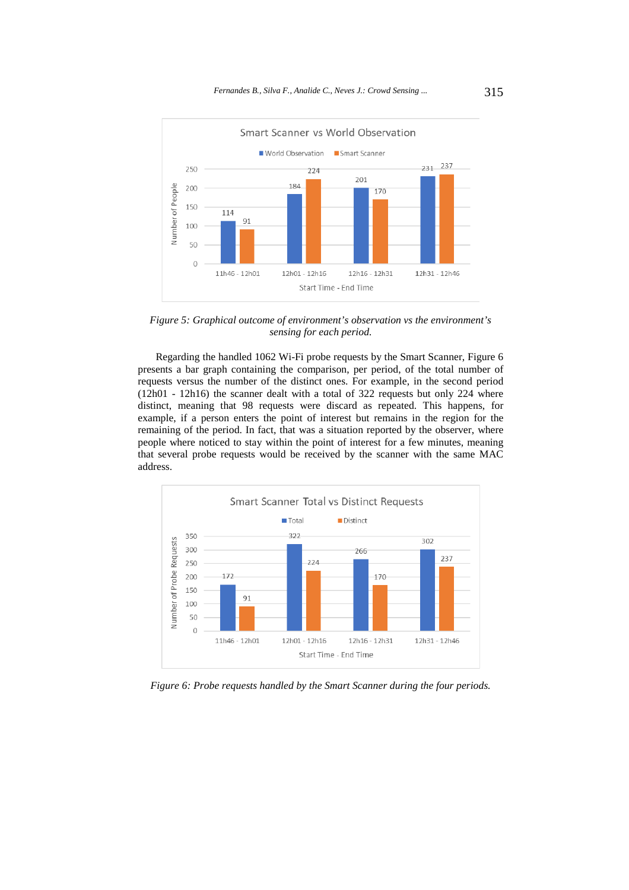

*Figure 5: Graphical outcome of environment's observation vs the environment's sensing for each period.* 

Regarding the handled 1062 Wi-Fi probe requests by the Smart Scanner, Figure 6 presents a bar graph containing the comparison, per period, of the total number of requests versus the number of the distinct ones. For example, in the second period (12h01 - 12h16) the scanner dealt with a total of 322 requests but only 224 where distinct, meaning that 98 requests were discard as repeated. This happens, for example, if a person enters the point of interest but remains in the region for the remaining of the period. In fact, that was a situation reported by the observer, where people where noticed to stay within the point of interest for a few minutes, meaning that several probe requests would be received by the scanner with the same MAC address.



*Figure 6: Probe requests handled by the Smart Scanner during the four periods.*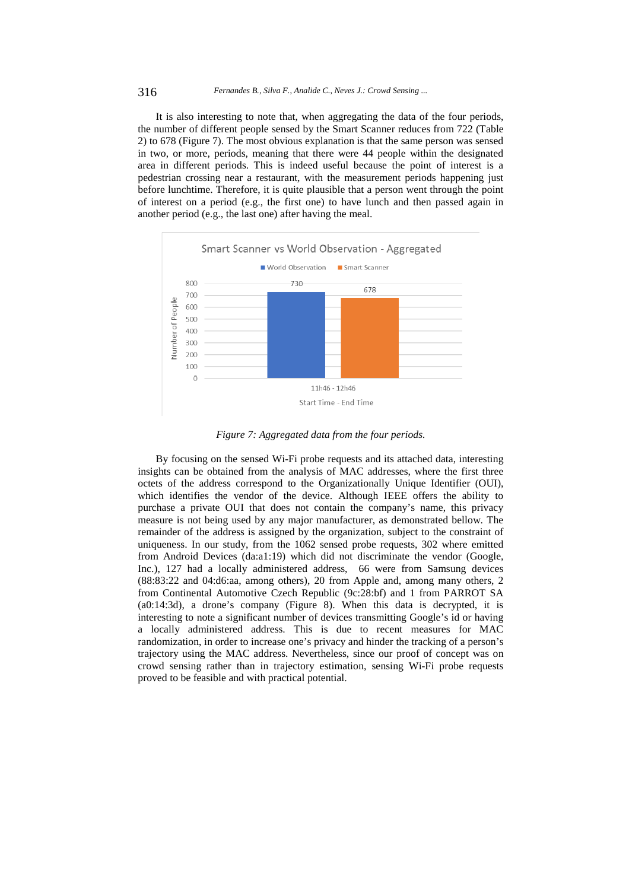It is also interesting to note that, when aggregating the data of the four periods, the number of different people sensed by the Smart Scanner reduces from 722 (Table 2) to 678 (Figure 7). The most obvious explanation is that the same person was sensed in two, or more, periods, meaning that there were 44 people within the designated area in different periods. This is indeed useful because the point of interest is a pedestrian crossing near a restaurant, with the measurement periods happening just before lunchtime. Therefore, it is quite plausible that a person went through the point of interest on a period (e.g., the first one) to have lunch and then passed again in another period (e.g., the last one) after having the meal.



*Figure 7: Aggregated data from the four periods.* 

By focusing on the sensed Wi-Fi probe requests and its attached data, interesting insights can be obtained from the analysis of MAC addresses, where the first three octets of the address correspond to the Organizationally Unique Identifier (OUI), which identifies the vendor of the device. Although IEEE offers the ability to purchase a private OUI that does not contain the company's name, this privacy measure is not being used by any major manufacturer, as demonstrated bellow. The remainder of the address is assigned by the organization, subject to the constraint of uniqueness. In our study, from the 1062 sensed probe requests, 302 where emitted from Android Devices (da:a1:19) which did not discriminate the vendor (Google, Inc.), 127 had a locally administered address, 66 were from Samsung devices (88:83:22 and 04:d6:aa, among others), 20 from Apple and, among many others, 2 from Continental Automotive Czech Republic (9c:28:bf) and 1 from PARROT SA (a0:14:3d), a drone's company (Figure 8). When this data is decrypted, it is interesting to note a significant number of devices transmitting Google's id or having a locally administered address. This is due to recent measures for MAC randomization, in order to increase one's privacy and hinder the tracking of a person's trajectory using the MAC address. Nevertheless, since our proof of concept was on crowd sensing rather than in trajectory estimation, sensing Wi-Fi probe requests proved to be feasible and with practical potential.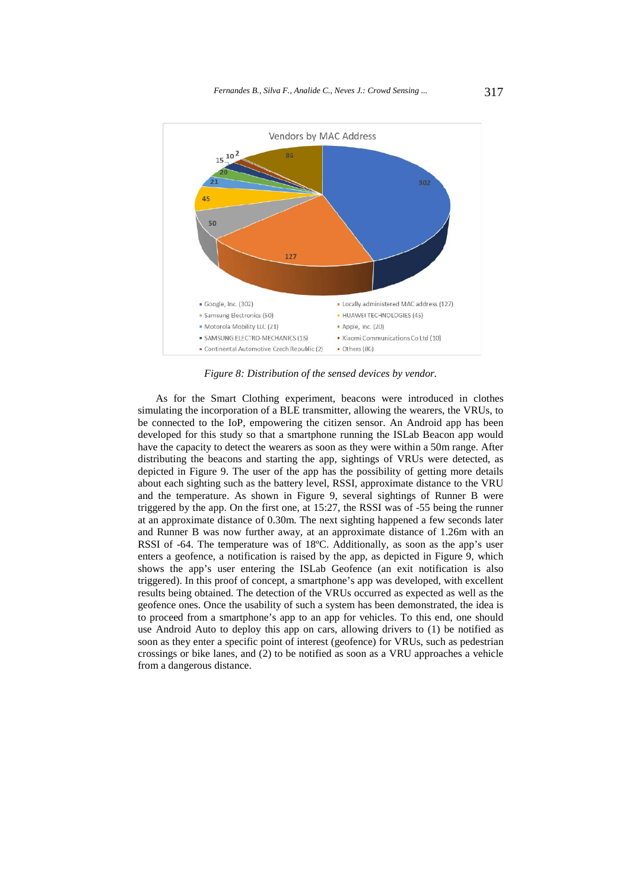

*Figure 8: Distribution of the sensed devices by vendor.* 

As for the Smart Clothing experiment, beacons were introduced in clothes simulating the incorporation of a BLE transmitter, allowing the wearers, the VRUs, to be connected to the IoP, empowering the citizen sensor. An Android app has been developed for this study so that a smartphone running the ISLab Beacon app would have the capacity to detect the wearers as soon as they were within a 50m range. After distributing the beacons and starting the app, sightings of VRUs were detected, as depicted in Figure 9. The user of the app has the possibility of getting more details about each sighting such as the battery level, RSSI, approximate distance to the VRU and the temperature. As shown in Figure 9, several sightings of Runner B were triggered by the app. On the first one, at 15:27, the RSSI was of -55 being the runner at an approximate distance of 0.30m. The next sighting happened a few seconds later and Runner B was now further away, at an approximate distance of 1.26m with an RSSI of -64. The temperature was of 18ºC. Additionally, as soon as the app's user enters a geofence, a notification is raised by the app, as depicted in Figure 9, which shows the app's user entering the ISLab Geofence (an exit notification is also triggered). In this proof of concept, a smartphone's app was developed, with excellent results being obtained. The detection of the VRUs occurred as expected as well as the geofence ones. Once the usability of such a system has been demonstrated, the idea is to proceed from a smartphone's app to an app for vehicles. To this end, one should use Android Auto to deploy this app on cars, allowing drivers to (1) be notified as soon as they enter a specific point of interest (geofence) for VRUs, such as pedestrian crossings or bike lanes, and (2) to be notified as soon as a VRU approaches a vehicle from a dangerous distance.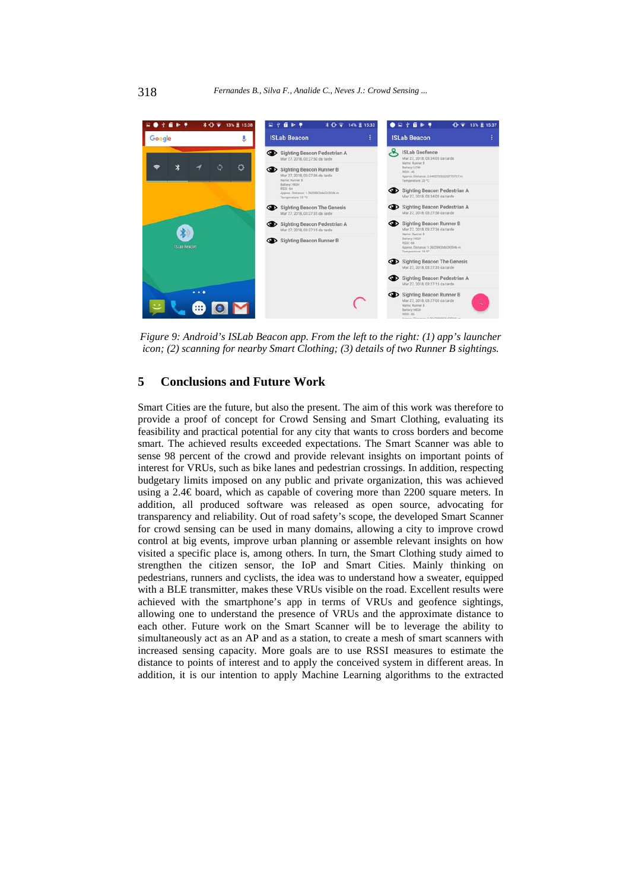

*Figure 9: Android's ISLab Beacon app. From the left to the right: (1) app's launcher icon; (2) scanning for nearby Smart Clothing; (3) details of two Runner B sightings.* 

## **5 Conclusions and Future Work**

Smart Cities are the future, but also the present. The aim of this work was therefore to provide a proof of concept for Crowd Sensing and Smart Clothing, evaluating its feasibility and practical potential for any city that wants to cross borders and become smart. The achieved results exceeded expectations. The Smart Scanner was able to sense 98 percent of the crowd and provide relevant insights on important points of interest for VRUs, such as bike lanes and pedestrian crossings. In addition, respecting budgetary limits imposed on any public and private organization, this was achieved using a 2.4€ board, which as capable of covering more than 2200 square meters. In addition, all produced software was released as open source, advocating for transparency and reliability. Out of road safety's scope, the developed Smart Scanner for crowd sensing can be used in many domains, allowing a city to improve crowd control at big events, improve urban planning or assemble relevant insights on how visited a specific place is, among others. In turn, the Smart Clothing study aimed to strengthen the citizen sensor, the IoP and Smart Cities. Mainly thinking on pedestrians, runners and cyclists, the idea was to understand how a sweater, equipped with a BLE transmitter, makes these VRUs visible on the road. Excellent results were achieved with the smartphone's app in terms of VRUs and geofence sightings, allowing one to understand the presence of VRUs and the approximate distance to each other. Future work on the Smart Scanner will be to leverage the ability to simultaneously act as an AP and as a station, to create a mesh of smart scanners with increased sensing capacity. More goals are to use RSSI measures to estimate the distance to points of interest and to apply the conceived system in different areas. In addition, it is our intention to apply Machine Learning algorithms to the extracted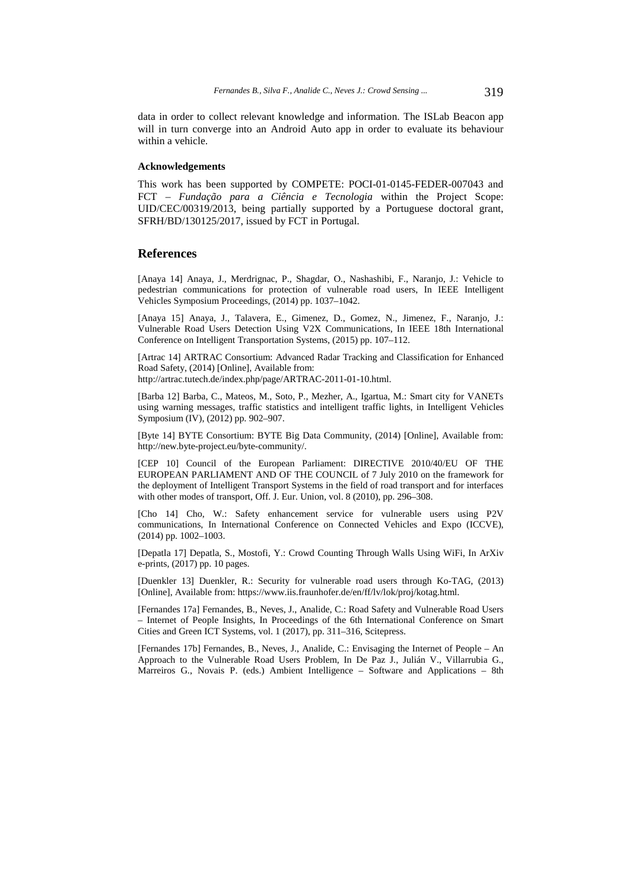data in order to collect relevant knowledge and information. The ISLab Beacon app will in turn converge into an Android Auto app in order to evaluate its behaviour within a vehicle.

#### **Acknowledgements**

This work has been supported by COMPETE: POCI-01-0145-FEDER-007043 and FCT – *Fundação para a Ciência e Tecnologia* within the Project Scope: UID/CEC/00319/2013, being partially supported by a Portuguese doctoral grant, SFRH/BD/130125/2017, issued by FCT in Portugal.

## **References**

[Anaya 14] Anaya, J., Merdrignac, P., Shagdar, O., Nashashibi, F., Naranjo, J.: Vehicle to pedestrian communications for protection of vulnerable road users, In IEEE Intelligent Vehicles Symposium Proceedings, (2014) pp. 1037–1042.

[Anaya 15] Anaya, J., Talavera, E., Gimenez, D., Gomez, N., Jimenez, F., Naranjo, J.: Vulnerable Road Users Detection Using V2X Communications, In IEEE 18th International Conference on Intelligent Transportation Systems, (2015) pp. 107–112.

[Artrac 14] ARTRAC Consortium: Advanced Radar Tracking and Classification for Enhanced Road Safety, (2014) [Online], Available from:

http://artrac.tutech.de/index.php/page/ARTRAC-2011-01-10.html.

[Barba 12] Barba, C., Mateos, M., Soto, P., Mezher, A., Igartua, M.: Smart city for VANETs using warning messages, traffic statistics and intelligent traffic lights, in Intelligent Vehicles Symposium (IV), (2012) pp. 902–907.

[Byte 14] BYTE Consortium: BYTE Big Data Community, (2014) [Online], Available from: http://new.byte-project.eu/byte-community/.

[CEP 10] Council of the European Parliament: DIRECTIVE 2010/40/EU OF THE EUROPEAN PARLIAMENT AND OF THE COUNCIL of 7 July 2010 on the framework for the deployment of Intelligent Transport Systems in the field of road transport and for interfaces with other modes of transport, Off. J. Eur. Union, vol. 8 (2010), pp. 296–308.

[Cho 14] Cho, W.: Safety enhancement service for vulnerable users using P2V communications, In International Conference on Connected Vehicles and Expo (ICCVE), (2014) pp. 1002–1003.

[Depatla 17] Depatla, S., Mostofi, Y.: Crowd Counting Through Walls Using WiFi, In ArXiv e-prints, (2017) pp. 10 pages.

[Duenkler 13] Duenkler, R.: Security for vulnerable road users through Ko-TAG, (2013) [Online], Available from: https://www.iis.fraunhofer.de/en/ff/lv/lok/proj/kotag.html.

[Fernandes 17a] Fernandes, B., Neves, J., Analide, C.: Road Safety and Vulnerable Road Users – Internet of People Insights, In Proceedings of the 6th International Conference on Smart Cities and Green ICT Systems, vol. 1 (2017), pp. 311–316, Scitepress.

[Fernandes 17b] Fernandes, B., Neves, J., Analide, C.: Envisaging the Internet of People – An Approach to the Vulnerable Road Users Problem, In De Paz J., Julián V., Villarrubia G., Marreiros G., Novais P. (eds.) Ambient Intelligence – Software and Applications – 8th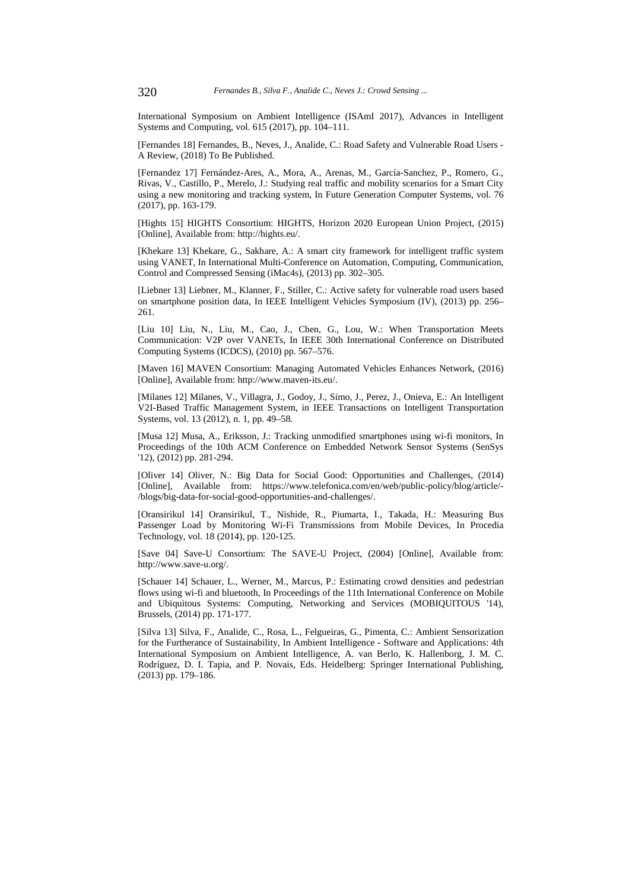International Symposium on Ambient Intelligence (ISAmI 2017), Advances in Intelligent Systems and Computing, vol. 615 (2017), pp. 104–111.

[Fernandes 18] Fernandes, B., Neves, J., Analide, C.: Road Safety and Vulnerable Road Users - A Review, (2018) To Be Published.

[Fernandez 17] Fernández-Ares, A., Mora, A., Arenas, M., García-Sanchez, P., Romero, G., Rivas, V., Castillo, P., Merelo, J.: Studying real traffic and mobility scenarios for a Smart City using a new monitoring and tracking system, In Future Generation Computer Systems, vol. 76 (2017), pp. 163-179.

[Hights 15] HIGHTS Consortium: HIGHTS, Horizon 2020 European Union Project, (2015) [Online], Available from: http://hights.eu/.

[Khekare 13] Khekare, G., Sakhare, A.: A smart city framework for intelligent traffic system using VANET, In International Multi-Conference on Automation, Computing, Communication, Control and Compressed Sensing (iMac4s), (2013) pp. 302–305.

[Liebner 13] Liebner, M., Klanner, F., Stiller, C.: Active safety for vulnerable road users based on smartphone position data, In IEEE Intelligent Vehicles Symposium (IV), (2013) pp. 256– 261.

[Liu 10] Liu, N., Liu, M., Cao, J., Chen, G., Lou, W.: When Transportation Meets Communication: V2P over VANETs, In IEEE 30th International Conference on Distributed Computing Systems (ICDCS), (2010) pp. 567–576.

[Maven 16] MAVEN Consortium: Managing Automated Vehicles Enhances Network, (2016) [Online], Available from: http://www.maven-its.eu/.

[Milanes 12] Milanes, V., Villagra, J., Godoy, J., Simo, J., Perez, J., Onieva, E.: An Intelligent V2I-Based Traffic Management System, in IEEE Transactions on Intelligent Transportation Systems, vol. 13 (2012), n. 1, pp. 49–58.

[Musa 12] Musa, A., Eriksson, J.: Tracking unmodified smartphones using wi-fi monitors, In Proceedings of the 10th ACM Conference on Embedded Network Sensor Systems (SenSys '12), (2012) pp. 281-294.

[Oliver 14] Oliver, N.: Big Data for Social Good: Opportunities and Challenges, (2014) [Online], Available from: https://www.telefonica.com/en/web/public-policy/blog/article/- /blogs/big-data-for-social-good-opportunities-and-challenges/.

[Oransirikul 14] Oransirikul, T., Nishide, R., Piumarta, I., Takada, H.: Measuring Bus Passenger Load by Monitoring Wi-Fi Transmissions from Mobile Devices, In Procedia Technology, vol. 18 (2014), pp. 120-125.

[Save 04] Save-U Consortium: The SAVE-U Project, (2004) [Online], Available from: http://www.save-u.org/.

[Schauer 14] Schauer, L., Werner, M., Marcus, P.: Estimating crowd densities and pedestrian flows using wi-fi and bluetooth, In Proceedings of the 11th International Conference on Mobile and Ubiquitous Systems: Computing, Networking and Services (MOBIQUITOUS '14), Brussels, (2014) pp. 171-177.

[Silva 13] Silva, F., Analide, C., Rosa, L., Felgueiras, G., Pimenta, C.: Ambient Sensorization for the Furtherance of Sustainability, In Ambient Intelligence - Software and Applications: 4th International Symposium on Ambient Intelligence, A. van Berlo, K. Hallenborg, J. M. C. Rodríguez, D. I. Tapia, and P. Novais, Eds. Heidelberg: Springer International Publishing, (2013) pp. 179–186.